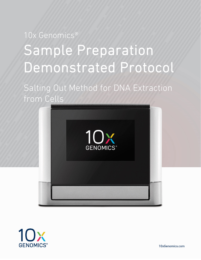# 10x Genomics® Sample Preparation Demonstrated Protocol

Salting Out Method for DNA Extraction from Cells





10xGenomics.com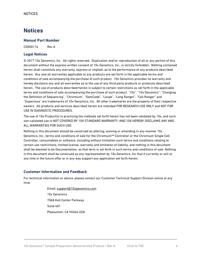## **Notices**

#### **Manual Part Number**

CG000116 Rev A

#### **Legal Notices**

© 2017 10x Genomics, Inc. All rights reserved. Duplication and/or reproduction of all or any portion of this document without the express written consent of 10x Genomics, Inc., is strictly forbidden. Nothing contained herein shall constitute any warranty, express or implied, as to the performance of any products described herein. Any and all warranties applicable to any products are set forth in the applicable terms and conditions of sale accompanying the purchase of such product. 10x Genomics provides no warranty and hereby disclaims any and all warranties as to the use of any third party products or protocols described herein. The use of products described herein is subject to certain restrictions as set forth in the applicable terms and conditions of sale accompanying the purchase of such product. "10x", "10x Genomics", "Changing the Definition of Sequencing", "Chromium", "GemCode", "Loupe", "Long Ranger", "Cell Ranger" and "Supernova" are trademarks of 10x Genomics, Inc. All other trademarks are the property of their respective owners. All products and services described herein are intended FOR RESEARCH USE ONLY and NOT FOR USE IN DIAGNOSTIC PROCEDURES.

The use of 10x Product(s) in practicing the methods set forth herein has not been validated by 10x, and such non-validated use is NOT COVERED BY 10X STANDARD WARRANTY, AND 10X HEREBY DISCLAIMS ANY AND ALL WARRANTIES FOR SUCH USE.

Nothing in this document should be construed as altering, waiving or amending in any manner 10x Genomics, Inc., terms and conditions of sale for the Chromium™ Controller or the Chromium Single Cell Controller, consumables or software, including without limitation such terms and conditions relating to certain use restrictions, limited license, warranty and limitation of liability, and nothing in this document shall be deemed to be Documentation, as that term is set forth in such terms and conditions of sale. Nothing in this document shall be construed as any representation by 10x Genomics, Inc that it currently or will at any time in the future offer or in any way support any application set forth herein.

#### **Customer Information and Feedback**

For technical information or advice, please contact our Customer Technical Support Division online at any time.

\_\_\_\_\_\_\_\_\_\_\_\_\_\_\_\_\_\_\_\_\_\_\_\_\_\_\_\_\_\_\_\_\_\_\_\_\_\_\_\_\_\_\_\_\_\_\_\_\_\_\_\_\_\_\_\_\_\_\_\_\_\_\_\_\_\_\_\_\_\_\_\_\_\_\_\_\_\_\_\_\_\_\_\_\_\_\_\_\_\_\_\_\_\_\_\_\_\_

Email: [support@10xgenomics.com](mailto:support@10xgenomics.com) 10x Genomics 7068 Koll Center Parkway Suite 401 Pleasanton, CA 94566 USA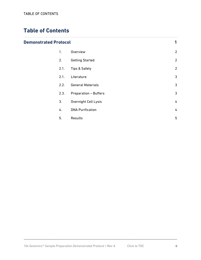## <span id="page-2-0"></span>**Table of Contents**

#### **[Demonstrated Protocol](#page-3-0) 1**

| 1.   | Overview                     | $\overline{2}$ |
|------|------------------------------|----------------|
| 2.   | <b>Getting Started</b>       | $\overline{2}$ |
| 2.1. | Tips & Safety                | $\overline{2}$ |
| 2.1. | Literature                   | 3              |
| 2.2. | <b>General Materials</b>     | 3              |
| 2.3. | <b>Preparation - Buffers</b> | 3              |
| 3.   | <b>Overnight Cell Lysis</b>  | 4              |
| 4.   | <b>DNA Purification</b>      | 4              |
| 5.   | Results                      | 5              |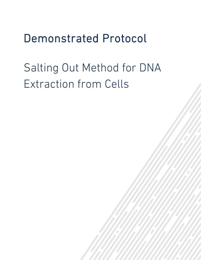## <span id="page-3-0"></span>Demonstrated Protocol

## Salting Out Method for DNA Extraction from Cells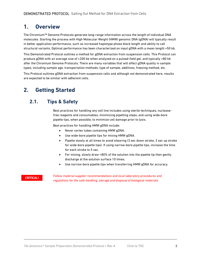## <span id="page-4-0"></span>**1. Overview**

The Chromium™ Genome Protocols generate long-range information across the length of individual DNA molecules. Starting the process with High Molecular Weight (HMW) genomic DNA (gDNA) will typically result in better application performance, such as increased haplotype phase block length and ability to call structural variants. Optimal performance has been characterized on input gDNA with a mean length >50 kb.

This Demonstrated Protocol outlines a method for gDNA extraction from suspension cells. This Protocol can produce gDNA with an average size of >200 kb when analyzed on a pulsed-field gel, and typically >80 kb after the Chromium Genome Protocols. There are many variables that will affect gDNA quality in sample types, including sample age, transportation methods, type of sample, additives, freezing method, etc.

This Protocol outlines gDNA extraction from suspension cells and although not demonstrated here, results are expected to be similar with adherent cells.

## <span id="page-4-1"></span>**2. Getting Started**

#### <span id="page-4-2"></span>**2.1. Tips & Safety**

Best practices for handling any cell line includes using sterile techniques, nucleasefree reagents and consumables, minimizing pipetting steps, and using wide-bore pipette tips, when possible, to minimize cell damage prior to lysis.

Best practices for handling HMW gDNA include:

- Never vortex tubes containing HMW gDNA.
- Use wide-bore pipette tips for mixing HMW gDNA.
- Pipette slowly at all times to avoid shearing (3 sec down stroke, 3 sec up stroke for wide-bore pipette tips). If using narrow-bore pipette tips, increase the time for each stroke to 5 sec.
- For mixing, slowly draw >80% of the solution into the pipette tip then gently discharge at the solution surface 10 times.
- Use narrow-bore pipette tips when transferring HMW gDNA for accuracy.

#### *CRITICAL!*

*Follow material supplier recommendations and local laboratory procedures and regulations for the safe handling, storage and disposal of biological materials.*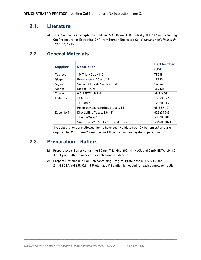#### <span id="page-5-0"></span>**2.1. Literature**

a) This Protocol is an adaptation of Miller, S.A., Dykes, D.D., Polesky, H.F. "A Simple Salting Out Procedure for Extracting DNA from Human Nucleated Cells" *Nucleic Acids Research* **1988**, *16*, 1215.

#### <span id="page-5-1"></span>**2.2. General Materials**

| <b>Supplier</b> | <b>Description</b>                              | <b>Part Number</b><br>(US) |
|-----------------|-------------------------------------------------|----------------------------|
| Teknova         | 1M Tris-HCl, pH 8.0                             | T5088                      |
| Qiagen          | Proteinase K, 20 mg/ml                          | 19133                      |
| Sigma-          | Sodium Chloride Solution, 5M                    | S6546                      |
| Aldrich         | Ethanol, Pure                                   | 459836                     |
| Thermo          | $0.5M$ EDTA pH $8.0$                            | AM9260G                    |
| Fisher Sci      | 10% SDS                                         | 15553-027                  |
|                 | <b>TE Buffer</b>                                | 12090-015                  |
|                 | Polypropylene centrifuge tubes, 15 ml           | 05-539-12                  |
| Eppendorf       | DNA LoBind Tubes, 2.0 ml*                       | 022431048                  |
|                 | ThermoMixer® C                                  | 5382000015                 |
|                 | SmartBlock <sup>™</sup> 15 ml x 8 conical tubes | 5366000021                 |

\*No substitutions are allowed. Items have been validated by 10x Genomics® and are required for Chromium™ Genome workflow, training and system operations.

#### <span id="page-5-2"></span>**2.3. Preparation – Buffers**

- b) Prepare Lysis Buffer containing 10 mM Tris-HCl, 400 mM NaCl, and 2 mM EDTA, pH 8.0. 3 ml Lysis Buffer is needed for each sample extraction.
- c) Prepare Proteinase K Solution containing 1 mg/ml Proteinase K, 1% SDS, and 2 mM EDTA, pH 8.0. 0.5 ml Proteinase K Solution is needed for each sample extraction.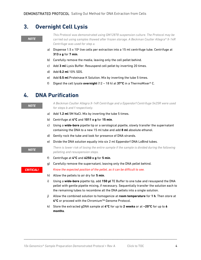## <span id="page-6-0"></span>**3. Overnight Cell Lysis**

#### *NOTE*

*This Protocol was demonstrated using GM12878 suspension culture. The Protocol may be carried out using samples thawed after frozen storage. A Beckman Coulter Allegra® X-14R Centrifuge was used for step a.*

- a) Dispense 1.5 x 10 $6$  live cells per extraction into a 15 ml centrifuge tube. Centrifuge at **313 x g** for **7 min**.
- b) Carefully remove the media, leaving only the cell pellet behind.
- c) Add **3 ml** Lysis Buffer. Resuspend cell pellet by inverting 20 times.
- d) Add **0.2 ml** 10% SDS.
- e) Add **0.5 ml** Proteinase K Solution. Mix by inverting the tube 5 times.
- f) Digest the cell lysate **overnight** (12 18 h) at **37°C** in a ThermoMixer® C.

#### <span id="page-6-1"></span>**4. DNA Purification**

*A Beckman Coulter Allegra X-14R Centrifuge and a Eppendorf Centrifuge 5425R were used for steps b and f respectively.*

- a) Add **1.2 ml** 5M NaCl. Mix by inverting the tube 5 times.
- b) Centrifuge at **4°C** and **1011 x g** for **15 min**.
- c) Using a **wide-bore** pipette tip or a serological pipette, slowly transfer the supernatant containing the DNA to a new 15 ml tube and add **8 ml** absolute ethanol.
- d) Gently rock the tube and look for presence of DNA strands.
- e) Divide the DNA solution equally into six 2 ml Eppendorf DNA LoBind tubes.

*There is lower risk of losing the entire sample if the sample is divided during the following pelleting and resuspension steps.*

- f) Centrifuge at **4°C** and **6250 x g** for **5 min**.
- g) Carefully remove the supernatant, leaving only the DNA pellet behind.

*Know the expected position of the pellet, as it can be difficult to see.*

- h) Allow the pellets to air dry for **5 min**.
- i) Using a **wide-bore** pipette tip, add **150 µl** TE Buffer to one tube and resuspend the DNA pellet with gentle pipette mixing, if necessary. Sequentially transfer the solution each to the remaining tubes to recombine all the DNA pellets into a single solution.
- j) Allow the combined solution to homogenize at **room temperature** for **1 h**. Then store at **4°C** or proceed with the Chromium™ Genome Protocol.
- k) Store the extracted gDNA sample at **4°C** for up to **2 weeks** or at **−20°C** for up to **6 months**.

\_\_\_\_\_\_\_\_\_\_\_\_\_\_\_\_\_\_\_\_\_\_\_\_\_\_\_\_\_\_\_\_\_\_\_\_\_\_\_\_\_\_\_\_\_\_\_\_\_\_\_\_\_\_\_\_\_\_\_\_\_\_\_\_\_\_\_\_\_\_\_\_\_\_\_\_\_\_\_\_\_\_\_\_\_\_\_\_\_\_\_\_\_\_\_\_\_\_

*NOTE*

#### *CRITICAL!*